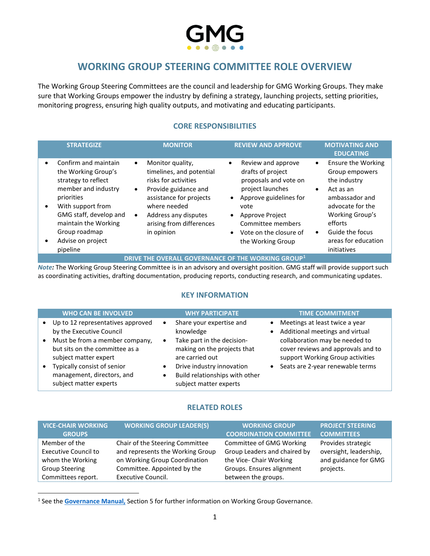# **WORKING GROUP STEERING COMMITTEE ROLE OVERVIEW**

The Working Group Steering Committees are the council and leadership for GMG Working Groups. They make sure that Working Groups empower the industry by defining a strategy, launching projects, setting priorities, monitoring progress, ensuring high quality outputs, and motivating and educating participants.

### **CORE RESPONSIBILITIES**

|                                     | <b>STRATEGIZE</b>                                                                                                                                                                                                                | <b>MONITOR</b>                                                                                                                                                                                                                                   | <b>REVIEW AND APPROVE</b>                                                                                                                                                                                                  |                                     | <b>MOTIVATING AND</b><br><b>EDUCATING</b>                                                                                                                                                             |
|-------------------------------------|----------------------------------------------------------------------------------------------------------------------------------------------------------------------------------------------------------------------------------|--------------------------------------------------------------------------------------------------------------------------------------------------------------------------------------------------------------------------------------------------|----------------------------------------------------------------------------------------------------------------------------------------------------------------------------------------------------------------------------|-------------------------------------|-------------------------------------------------------------------------------------------------------------------------------------------------------------------------------------------------------|
| $\bullet$<br>$\bullet$<br>$\bullet$ | Confirm and maintain<br>the Working Group's<br>strategy to reflect<br>member and industry<br>priorities<br>With support from<br>GMG staff, develop and<br>maintain the Working<br>Group roadmap<br>Advise on project<br>pipeline | Monitor quality,<br>$\bullet$<br>timelines, and potential<br>risks for activities<br>Provide guidance and<br>$\bullet$<br>assistance for projects<br>where needed<br>Address any disputes<br>$\bullet$<br>arising from differences<br>in opinion | Review and approve<br>$\bullet$<br>drafts of project<br>proposals and vote on<br>project launches<br>Approve guidelines for<br>vote<br>Approve Project<br>Committee members<br>Vote on the closure of<br>the Working Group | $\bullet$<br>$\bullet$<br>$\bullet$ | <b>Ensure the Working</b><br>Group empowers<br>the industry<br>Act as an<br>ambassador and<br>advocate for the<br>Working Group's<br>efforts<br>Guide the focus<br>areas for education<br>initiatives |

### **DRIVE THE OVERALL GOVERNANCE OF THE WORKING GROUP[1](#page-0-0)**

*Note:* The Working Group Steering Committee is in an advisory and oversight position. GMG staff will provide support such as coordinating activities, drafting documentation, producing reports, conducting research, and communicating updates.

### **KEY INFORMATION**

|           | <b>WHO CAN BE INVOLVED</b>                                                                | <b>WHY PARTICIPATE</b>                                                                | <b>TIME COMMITMENT</b>                                                                                   |
|-----------|-------------------------------------------------------------------------------------------|---------------------------------------------------------------------------------------|----------------------------------------------------------------------------------------------------------|
|           | Up to 12 representatives approved<br>by the Executive Council                             | Share your expertise and<br>$\bullet$<br>knowledge                                    | Meetings at least twice a year<br>Additional meetings and virtual                                        |
| $\bullet$ | Must be from a member company,<br>but sits on the committee as a<br>subject matter expert | Take part in the decision-<br>making on the projects that<br>are carried out          | collaboration may be needed to<br>cover reviews and approvals and to<br>support Working Group activities |
|           | Typically consist of senior<br>management, directors, and<br>subject matter experts       | Drive industry innovation<br>Build relationships with other<br>subject matter experts | Seats are 2-year renewable terms                                                                         |

### **RELATED ROLES**

| <b>VICE-CHAIR WORKING</b>   | <b>WORKING GROUP LEADER(S)</b>   | <b>WORKING GROUP</b>          | <b>PROJECT STEERING</b> |
|-----------------------------|----------------------------------|-------------------------------|-------------------------|
| <b>GROUPS</b>               |                                  | <b>COORDINATION COMMITTEE</b> | <b>COMMITTEES</b>       |
| Member of the               | Chair of the Steering Committee  | Committee of GMG Working      | Provides strategic      |
| <b>Executive Council to</b> | and represents the Working Group | Group Leaders and chaired by  | oversight, leadership,  |
| whom the Working            | on Working Group Coordination    | the Vice- Chair Working       | and guidance for GMG    |
| <b>Group Steering</b>       | Committee. Appointed by the      | Groups. Ensures alignment     | projects.               |
| Committees report.          | Executive Council.               | between the groups.           |                         |

<span id="page-0-0"></span><sup>&</sup>lt;sup>1</sup> See the **Governance Manual**, Section 5 for further information on Working Group Governance.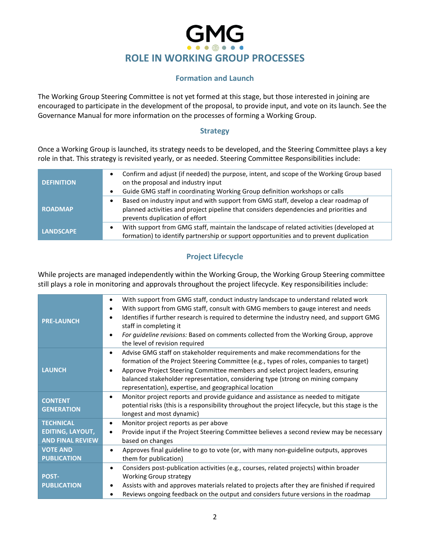# **ROLE IN WORKING GROUP PROCESSES**

### **Formation and Launch**

The Working Group Steering Committee is not yet formed at this stage, but those interested in joining are encouraged to participate in the development of the proposal, to provide input, and vote on its launch. See the Governance Manual for more information on the processes of forming a Working Group.

### **Strategy**

Once a Working Group is launched, its strategy needs to be developed, and the Steering Committee plays a key role in that. This strategy is revisited yearly, or as needed. Steering Committee Responsibilities include:

| <b>DEFINITION</b> | Confirm and adjust (if needed) the purpose, intent, and scope of the Working Group based<br>on the proposal and industry input<br>Guide GMG staff in coordinating Working Group definition workshops or calls<br>$\bullet$ |
|-------------------|----------------------------------------------------------------------------------------------------------------------------------------------------------------------------------------------------------------------------|
| <b>ROADMAP</b>    | Based on industry input and with support from GMG staff, develop a clear roadmap of<br>planned activities and project pipeline that considers dependencies and priorities and<br>prevents duplication of effort            |
| <b>LANDSCAPE</b>  | With support from GMG staff, maintain the landscape of related activities (developed at<br>٠<br>formation) to identify partnership or support opportunities and to prevent duplication                                     |

## **Project Lifecycle**

While projects are managed independently within the Working Group, the Working Group Steering committee still plays a role in monitoring and approvals throughout the project lifecycle. Key responsibilities include:

| <b>PRE-LAUNCH</b>                   | With support from GMG staff, conduct industry landscape to understand related work<br>$\bullet$<br>With support from GMG staff, consult with GMG members to gauge interest and needs<br>$\bullet$<br>Identifies if further research is required to determine the industry need, and support GMG<br>$\bullet$<br>staff in completing it<br>For guideline revisions: Based on comments collected from the Working Group, approve<br>$\bullet$<br>the level of revision required |
|-------------------------------------|-------------------------------------------------------------------------------------------------------------------------------------------------------------------------------------------------------------------------------------------------------------------------------------------------------------------------------------------------------------------------------------------------------------------------------------------------------------------------------|
| <b>LAUNCH</b>                       | Advise GMG staff on stakeholder requirements and make recommendations for the<br>$\bullet$<br>formation of the Project Steering Committee (e.g., types of roles, companies to target)<br>Approve Project Steering Committee members and select project leaders, ensuring<br>balanced stakeholder representation, considering type (strong on mining company<br>representation), expertise, and geographical location                                                          |
| <b>CONTENT</b><br><b>GENERATION</b> | Monitor project reports and provide guidance and assistance as needed to mitigate<br>$\bullet$<br>potential risks (this is a responsibility throughout the project lifecycle, but this stage is the<br>longest and most dynamic)                                                                                                                                                                                                                                              |
| <b>TECHNICAL</b>                    | Monitor project reports as per above<br>$\bullet$                                                                                                                                                                                                                                                                                                                                                                                                                             |
| <b>EDITING, LAYOUT,</b>             | Provide input if the Project Steering Committee believes a second review may be necessary<br>$\bullet$                                                                                                                                                                                                                                                                                                                                                                        |
| <b>AND FINAL REVIEW</b>             | based on changes                                                                                                                                                                                                                                                                                                                                                                                                                                                              |
| <b>VOTE AND</b>                     | Approves final guideline to go to vote (or, with many non-guideline outputs, approves<br>$\bullet$                                                                                                                                                                                                                                                                                                                                                                            |
| <b>PUBLICATION</b>                  | them for publication)                                                                                                                                                                                                                                                                                                                                                                                                                                                         |
|                                     | Considers post-publication activities (e.g., courses, related projects) within broader<br>$\bullet$                                                                                                                                                                                                                                                                                                                                                                           |
| <b>POST-</b>                        | <b>Working Group strategy</b>                                                                                                                                                                                                                                                                                                                                                                                                                                                 |
| <b>PUBLICATION</b>                  | Assists with and approves materials related to projects after they are finished if required<br>$\bullet$                                                                                                                                                                                                                                                                                                                                                                      |
|                                     | Reviews ongoing feedback on the output and considers future versions in the roadmap                                                                                                                                                                                                                                                                                                                                                                                           |